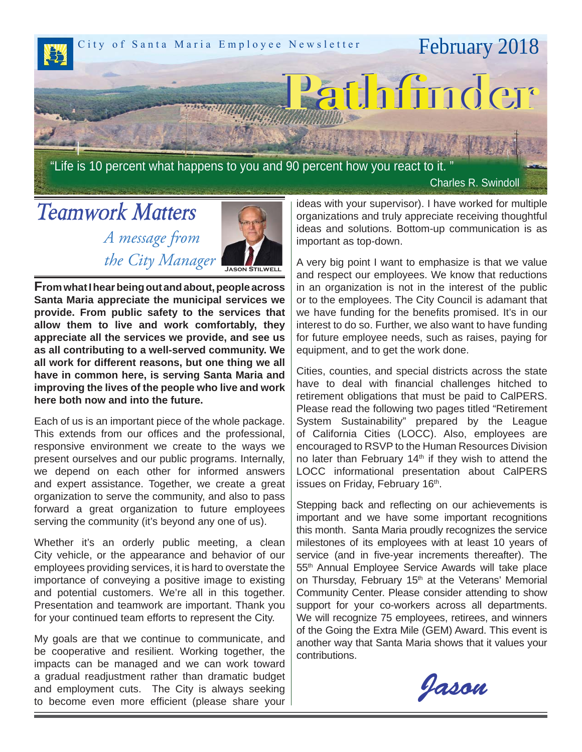

"Life is 10 percent what happens to you and 90 percent how you react to it.

Charles R. Swindoll

# *Teamwork Matters A message from*



 *the City Manager*  **From what I hear being out and about, people across Santa Maria appreciate the municipal services we provide. From public safety to the services that allow them to live and work comfortably, they appreciate all the services we provide, and see us as all contributing to a well-served community. We all work for different reasons, but one thing we all have in common here, is serving Santa Maria and improving the lives of the people who live and work here both now and into the future.**

Each of us is an important piece of the whole package. This extends from our offices and the professional, responsive environment we create to the ways we present ourselves and our public programs. Internally, we depend on each other for informed answers and expert assistance. Together, we create a great organization to serve the community, and also to pass forward a great organization to future employees serving the community (it's beyond any one of us).

Whether it's an orderly public meeting, a clean City vehicle, or the appearance and behavior of our employees providing services, it is hard to overstate the importance of conveying a positive image to existing and potential customers. We're all in this together. Presentation and teamwork are important. Thank you for your continued team efforts to represent the City.

My goals are that we continue to communicate, and be cooperative and resilient. Working together, the impacts can be managed and we can work toward a gradual readjustment rather than dramatic budget and employment cuts. The City is always seeking to become even more efficient (please share your  $\vert$ 

ideas with your supervisor). I have worked for multiple organizations and truly appreciate receiving thoughtful ideas and solutions. Bottom-up communication is as important as top-down.

A very big point I want to emphasize is that we value and respect our employees. We know that reductions in an organization is not in the interest of the public or to the employees. The City Council is adamant that we have funding for the benefits promised. It's in our interest to do so. Further, we also want to have funding for future employee needs, such as raises, paying for equipment, and to get the work done.

Cities, counties, and special districts across the state have to deal with financial challenges hitched to retirement obligations that must be paid to CalPERS. Please read the following two pages titled "Retirement System Sustainability" prepared by the League of California Cities (LOCC). Also, employees are encouraged to RSVP to the Human Resources Division no later than February  $14<sup>th</sup>$  if they wish to attend the LOCC informational presentation about CalPERS issues on Friday, February 16<sup>th</sup>.

Stepping back and reflecting on our achievements is important and we have some important recognitions this month. Santa Maria proudly recognizes the service milestones of its employees with at least 10 years of service (and in five-year increments thereafter). The 55th Annual Employee Service Awards will take place on Thursday, February 15<sup>th</sup> at the Veterans' Memorial Community Center. Please consider attending to show support for your co-workers across all departments. We will recognize 75 employees, retirees, and winners of the Going the Extra Mile (GEM) Award. This event is another way that Santa Maria shows that it values your contributions.

Jason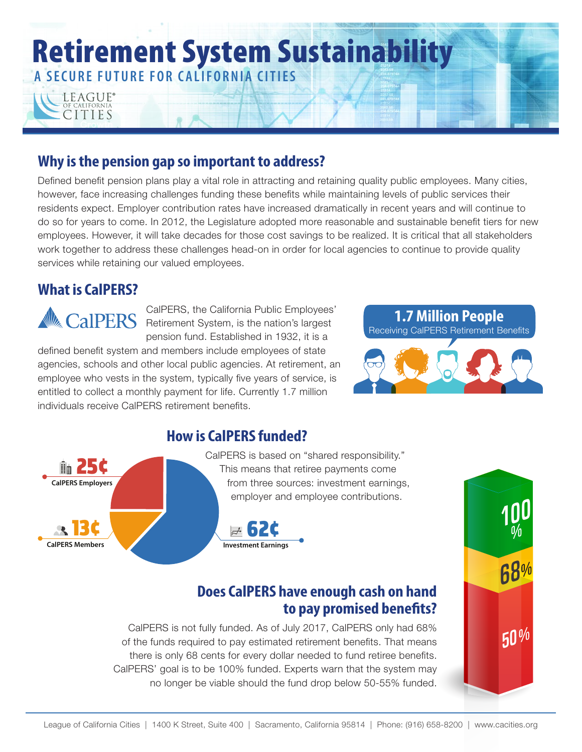

### **Why is the pension gap so important to address?**

Defined benefit pension plans play a vital role in attracting and retaining quality public employees. Many cities, however, face increasing challenges funding these benefits while maintaining levels of public services their residents expect. Employer contribution rates have increased dramatically in recent years and will continue to do so for years to come. In 2012, the Legislature adopted more reasonable and sustainable benefit tiers for new employees. However, it will take decades for those cost savings to be realized. It is critical that all stakeholders work together to address these challenges head-on in order for local agencies to continue to provide quality services while retaining our valued employees.

### **What is CalPERS?**

CalPERS, the California Public Employees' Retirement System, is the nation's largest pension fund. Established in 1932, it is a

defined benefit system and members include employees of state agencies, schools and other local public agencies. At retirement, an employee who vests in the system, typically five years of service, is entitled to collect a monthly payment for life. Currently 1.7 million individuals receive CalPERS retirement benefits.



## **How is CalPERS funded?**



#### CalPERS is based on "shared responsibility." This means that retiree payments come from three sources: investment earnings, employer and employee contributions.



## **Does CalPERS have enough cash on hand to pay promised benefits?**

CalPERS is not fully funded. As of July 2017, CalPERS only had 68% of the funds required to pay estimated retirement benefits. That means there is only 68 cents for every dollar needed to fund retiree benefits. CalPERS' goal is to be 100% funded. Experts warn that the system may no longer be viable should the fund drop below 50-55% funded.